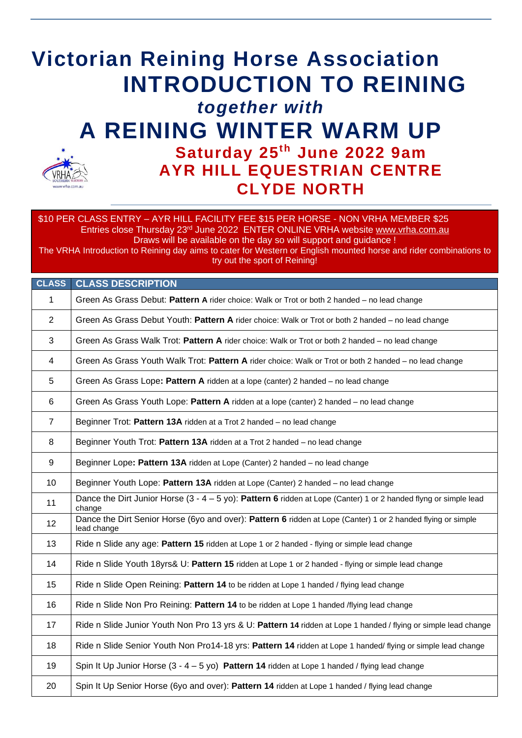# **Victorian Reining Horse Association INTRODUCTION TO REINING**  *together with* **A REINING WINTER WARM UP Saturday 25 th June 2022 9am AYR HILL EQUESTRIAN CENTRE CLYDE NORTH**

\$10 PER CLASS ENTRY – AYR HILL FACILITY FEE \$15 PER HORSE - NON VRHA MEMBER \$25 Entries close Thursday 23rd June 2022 ENTER ONLINE VRHA website [www.vrha.com.au](http://www.vrha.com.au/) Draws will be available on the day so will support and guidance !

The VRHA Introduction to Reining day aims to cater for Western or English mounted horse and rider combinations to try out the sport of Reining!

| <b>CLASS</b>   | <b>CLASS DESCRIPTION</b>                                                                                                     |
|----------------|------------------------------------------------------------------------------------------------------------------------------|
| $\mathbf 1$    | Green As Grass Debut: Pattern A rider choice: Walk or Trot or both 2 handed - no lead change                                 |
| 2              | Green As Grass Debut Youth: Pattern A rider choice: Walk or Trot or both 2 handed - no lead change                           |
| $\mathbf{3}$   | Green As Grass Walk Trot: Pattern A rider choice: Walk or Trot or both 2 handed – no lead change                             |
| $\overline{4}$ | Green As Grass Youth Walk Trot: Pattern A rider choice: Walk or Trot or both 2 handed – no lead change                       |
| 5              | Green As Grass Lope: Pattern A ridden at a lope (canter) 2 handed - no lead change                                           |
| 6              | Green As Grass Youth Lope: Pattern A ridden at a lope (canter) 2 handed - no lead change                                     |
| $\overline{7}$ | Beginner Trot: Pattern 13A ridden at a Trot 2 handed - no lead change                                                        |
| 8              | Beginner Youth Trot: Pattern 13A ridden at a Trot 2 handed - no lead change                                                  |
| 9              | Beginner Lope: Pattern 13A ridden at Lope (Canter) 2 handed - no lead change                                                 |
| 10             | Beginner Youth Lope: Pattern 13A ridden at Lope (Canter) 2 handed - no lead change                                           |
| 11             | Dance the Dirt Junior Horse $(3 - 4 - 5 y)$ : Pattern 6 ridden at Lope (Canter) 1 or 2 handed flyng or simple lead<br>change |
| 12             | Dance the Dirt Senior Horse (6yo and over): Pattern 6 ridden at Lope (Canter) 1 or 2 handed flying or simple<br>lead change  |
| 13             | Ride n Slide any age: Pattern 15 ridden at Lope 1 or 2 handed - flying or simple lead change                                 |
| 14             | Ride n Slide Youth 18yrs& U: Pattern 15 ridden at Lope 1 or 2 handed - flying or simple lead change                          |
| 15             | Ride n Slide Open Reining: Pattern 14 to be ridden at Lope 1 handed / flying lead change                                     |
| 16             | Ride n Slide Non Pro Reining: Pattern 14 to be ridden at Lope 1 handed /flying lead change                                   |
| 17             | Ride n Slide Junior Youth Non Pro 13 yrs & U: Pattern 14 ridden at Lope 1 handed / flying or simple lead change              |
| 18             | Ride n Slide Senior Youth Non Pro14-18 yrs: Pattern 14 ridden at Lope 1 handed/flying or simple lead change                  |
| 19             | Spin It Up Junior Horse $(3 - 4 - 5 y_0)$ Pattern 14 ridden at Lope 1 handed / flying lead change                            |
| 20             | Spin It Up Senior Horse (6yo and over): Pattern 14 ridden at Lope 1 handed / flying lead change                              |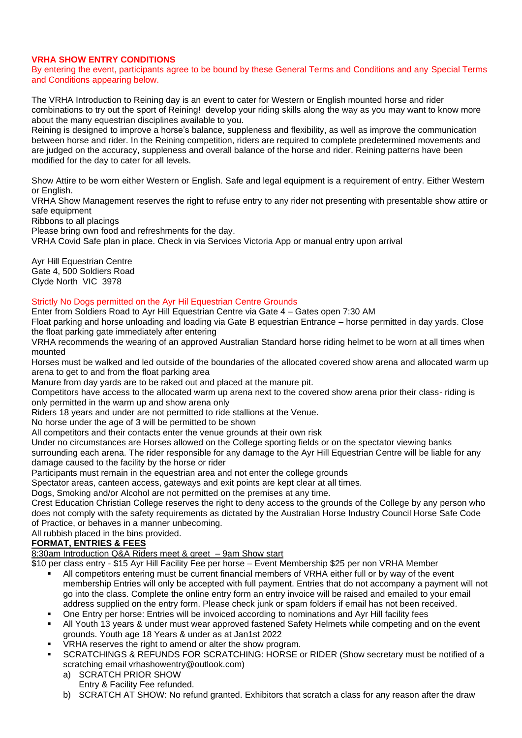# **VRHA SHOW ENTRY CONDITIONS**

By entering the event, participants agree to be bound by these General Terms and Conditions and any Special Terms and Conditions appearing below.

The VRHA Introduction to Reining day is an event to cater for Western or English mounted horse and rider combinations to try out the sport of Reining! develop your riding skills along the way as you may want to know more about the many equestrian disciplines available to you.

Reining is designed to improve a horse's balance, suppleness and flexibility, as well as improve the communication between horse and rider. In the Reining competition, riders are required to complete predetermined movements and are judged on the accuracy, suppleness and overall balance of the horse and rider. Reining patterns have been modified for the day to cater for all levels.

Show Attire to be worn either Western or English. Safe and legal equipment is a requirement of entry. Either Western or English.

VRHA Show Management reserves the right to refuse entry to any rider not presenting with presentable show attire or safe equipment

Ribbons to all placings

Please bring own food and refreshments for the day.

VRHA Covid Safe plan in place. Check in via Services Victoria App or manual entry upon arrival

Ayr Hill Equestrian Centre Gate 4, 500 Soldiers Road Clyde North VIC 3978

# Strictly No Dogs permitted on the Ayr Hil Equestrian Centre Grounds

Enter from Soldiers Road to Ayr Hill Equestrian Centre via Gate 4 – Gates open 7:30 AM

Float parking and horse unloading and loading via Gate B equestrian Entrance – horse permitted in day yards. Close the float parking gate immediately after entering

VRHA recommends the wearing of an approved Australian Standard horse riding helmet to be worn at all times when mounted

Horses must be walked and led outside of the boundaries of the allocated covered show arena and allocated warm up arena to get to and from the float parking area

Manure from day yards are to be raked out and placed at the manure pit.

Competitors have access to the allocated warm up arena next to the covered show arena prior their class- riding is only permitted in the warm up and show arena only

Riders 18 years and under are not permitted to ride stallions at the Venue.

No horse under the age of 3 will be permitted to be shown

All competitors and their contacts enter the venue grounds at their own risk

Under no circumstances are Horses allowed on the College sporting fields or on the spectator viewing banks surrounding each arena. The rider responsible for any damage to the Ayr Hill Equestrian Centre will be liable for any damage caused to the facility by the horse or rider

Participants must remain in the equestrian area and not enter the college grounds

Spectator areas, canteen access, gateways and exit points are kept clear at all times.

Dogs, Smoking and/or Alcohol are not permitted on the premises at any time.

Crest Education Christian College reserves the right to deny access to the grounds of the College by any person who does not comply with the safety requirements as dictated by the Australian Horse Industry Council Horse Safe Code of Practice, or behaves in a manner unbecoming.

All rubbish placed in the bins provided.

# **FORMAT, ENTRIES & FEES**

8:30am Introduction Q&A Riders meet & greet – 9am Show start

\$10 per class entry - \$15 Ayr Hill Facility Fee per horse – Event Membership \$25 per non VRHA Member

- All competitors entering must be current financial members of VRHA either full or by way of the event membership Entries will only be accepted with full payment. Entries that do not accompany a payment will not go into the class. Complete the online entry form an entry invoice will be raised and emailed to your email address supplied on the entry form. Please check junk or spam folders if email has not been received.
- One Entry per horse: Entries will be invoiced according to nominations and Ayr Hill facility fees
- All Youth 13 years & under must wear approved fastened Safety Helmets while competing and on the event grounds. Youth age 18 Years & under as at Jan1st 2022
- VRHA reserves the right to amend or alter the show program.
- SCRATCHINGS & REFUNDS FOR SCRATCHING: HORSE or RIDER (Show secretary must be notified of a scratching email vrhashowentry@outlook.com)
	- a) SCRATCH PRIOR SHOW Entry & Facility Fee refunded.
	- b) SCRATCH AT SHOW: No refund granted. Exhibitors that scratch a class for any reason after the draw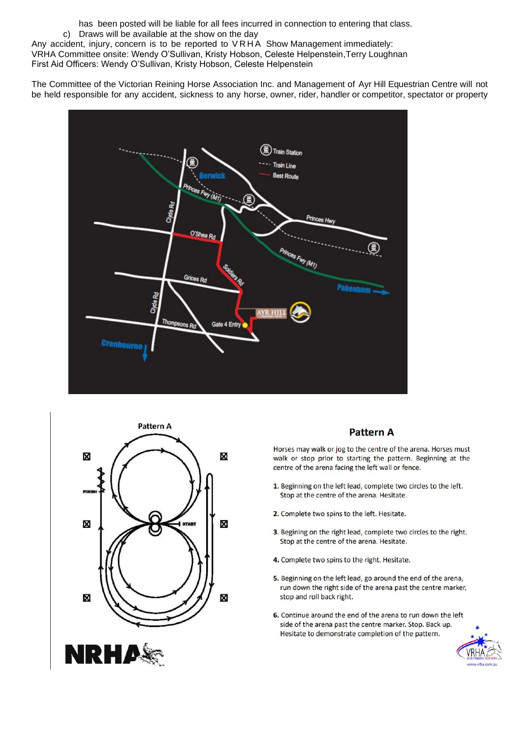has been posted will be liable for all fees incurred in connection to entering that class.

c) Draws will be available at the show on the day

Any accident, injury, concern is to be reported to V R H A Show Management immediately: VRHA Committee onsite: Wendy O'Sullivan, Kristy Hobson, Celeste Helpenstein,Terry Loughnan

First Aid Officers: Wendy O'Sullivan, Kristy Hobson, Celeste Helpenstein

The Committee of the Victorian Reining Horse Association Inc. and Management of Ayr Hill Equestrian Centre will not be held responsible for any accident, sickness to any horse, owner, rider, handler or competitor, spectator or property





# **Pattern A**

Horses may walk or jog to the centre of the arena. Horses must walk or stop prior to starting the pattern. Beginning at the centre of the arena facing the left wall or fence.

- 1. Beginning on the left lead, complete two circles to the left. Stop at the centre of the arena. Hesitate.
- 2. Complete two spins to the left. Hesitate.
- 3. Begining on the right lead, complete two circles to the right. Stop at the centre of the arena. Hesitate.
- 4. Complete two spins to the right. Hesitate.
- 5. Beginning on the left lead, go around the end of the arena, run down the right side of the arena past the centre marker, stop and roll back right.
- 6. Continue around the end of the arena to run down the left side of the arena past the centre marker. Stop. Back up. Hesitate to demonstrate completion of the pattern.

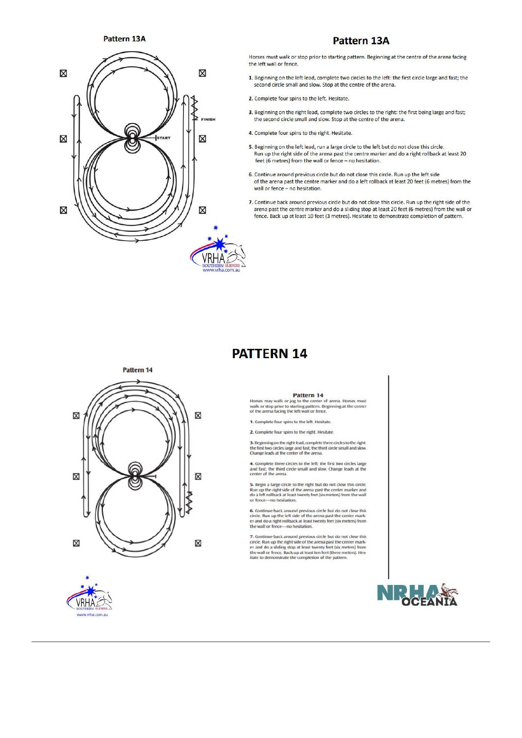Pattern 13A



# **Pattern 13A**

Horses must walk or stop prior to starting pattern. Beginning at the centre of the arena facing the left wall or fence.

- 1. Beginning on the left lead, complete two circles to the left: the first circle large and fast; the second circle small and slow. Stop at the centre of the arena.
- 2. Complete four spins to the left. Hesitate.
- 3. Beginning on the right lead, complete two circles to the right: the first being large and fast; the second circle small and slow. Stop at the centre of the arena.
- 4. Complete four spins to the right. Hesitate.
- 5. Beginning on the left lead, run a large circle to the left but do not close this circle. Run up the right side of the arena past the centre marker and do a right rollback at least 20 feet (6 metres) from the wall or fence - no hesitation.
- 6. Continue around previous circle but do not close this circle. Run up the left side of the arena past the centre marker and do a left rollback at least 20 feet (6 metres) from the wall or fence - no hesitation.
- 7. Continue back around previous circle but do not close this circle. Run up the right side of the arena past the centre marker and do a sliding stop at least 20 feet (6 metres) from the wall or fence. Back up at least 10 feet (3 metres). Hesitate to demonstrate completion of pattern.

# **PATTERN 14**

### Pattern 14





#### Pattern 14

Horses may walk or jog to the center of arena. Horses must<br>walk or stop prior to starting pattern. Beginning at the center<br>of the arena facing the left wall or fence.

1. Complete four spins to the left. Hesitate

2. Complete four spins to the right. Hesitate

**3.** Beginning on the right lead, complete three circles to the right:<br>the first two circles large and fast; the third circle small and slow.<br>Change leads at the center of the arena.

4. Complete three circles to the left: the first two circles large and fast; the third circle small and slow. Change leads at the<br>center of the arena.

**5.** Begin a large circle to the right but do not close this circle.<br>Run up the right side of the arena past the center marker and do a left rollback at least now<br>tenty feet (six meters) from the wall or lence—no hesitati

**6.** Continue back around previous circle but do not close this circle. Run up the left side of the arena past the center marker and do a right rollback at least twonty feet (six meters) from the wall or fence—no hesitati

7. Continue back around previous circle but do not close this circle. Run up the right side of the arena past the center marker and do a siding stop at least twenty feet (six meters) from the valid or fence. Back up at le